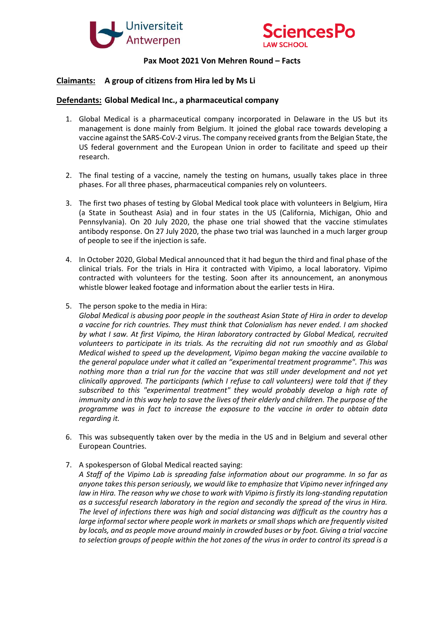



## **Pax Moot 2021 Von Mehren Round – Facts**

## **Claimants: A group of citizens from Hira led by Ms Li**

## **Defendants: Global Medical Inc., a pharmaceutical company**

- 1. Global Medical is a pharmaceutical company incorporated in Delaware in the US but its management is done mainly from Belgium. It joined the global race towards developing a vaccine against the SARS-CoV-2 virus. The company received grants from the Belgian State, the US federal government and the European Union in order to facilitate and speed up their research.
- 2. The final testing of a vaccine, namely the testing on humans, usually takes place in three phases. For all three phases, pharmaceutical companies rely on volunteers.
- 3. The first two phases of testing by Global Medical took place with volunteers in Belgium, Hira (a State in Southeast Asia) and in four states in the US (California, Michigan, Ohio and Pennsylvania). On 20 July 2020, the phase one trial showed that the vaccine stimulates antibody response. On 27 July 2020, the phase two trial was launched in a much larger group of people to see if the injection is safe.
- 4. In October 2020, Global Medical announced that it had begun the third and final phase of the clinical trials. For the trials in Hira it contracted with Vipimo, a local laboratory. Vipimo contracted with volunteers for the testing. Soon after its announcement, an anonymous whistle blower leaked footage and information about the earlier tests in Hira.
- 5. The person spoke to the media in Hira:
	- *Global Medical is abusing poor people in the southeast Asian State of Hira in order to develop a vaccine for rich countries. They must think that Colonialism has never ended. I am shocked by what I saw. At first Vipimo, the Hiran laboratory contracted by Global Medical, recruited volunteers to participate in its trials. As the recruiting did not run smoothly and as Global Medical wished to speed up the development, Vipimo began making the vaccine available to the general populace under what it called an "experimental treatment programme". This was nothing more than a trial run for the vaccine that was still under development and not yet clinically approved. The participants (which I refuse to call volunteers) were told that if they subscribed to this "experimental treatment" they would probably develop a high rate of immunity and in this way help to save the lives of their elderly and children. The purpose of the programme was in fact to increase the exposure to the vaccine in order to obtain data regarding it.*
- 6. This was subsequently taken over by the media in the US and in Belgium and several other European Countries.
- 7. A spokesperson of Global Medical reacted saying:

*A Staff of the Vipimo Lab is spreading false information about our programme. In so far as anyone takes this person seriously, we would like to emphasize that Vipimo never infringed any law in Hira. The reason why we chose to work with Vipimo is firstly its long-standing reputation as a successful research laboratory in the region and secondly the spread of the virus in Hira. The level of infections there was high and social distancing was difficult as the country has a large informal sector where people work in markets or small shops which are frequently visited by locals, and as people move around mainly in crowded buses or by foot. Giving a trial vaccine to selection groups of people within the hot zones of the virus in order to control its spread is a*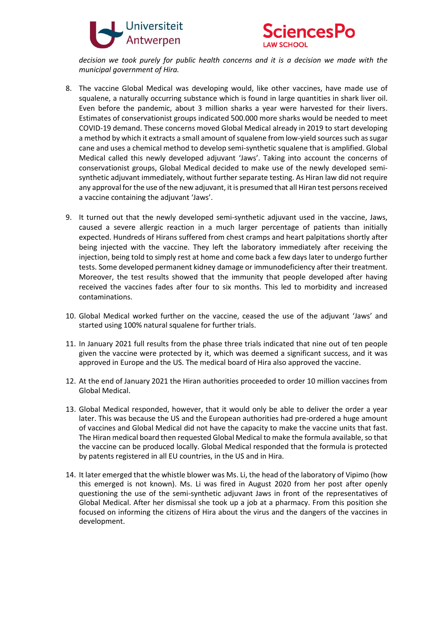



*decision we took purely for public health concerns and it is a decision we made with the municipal government of Hira.* 

- 8. The vaccine Global Medical was developing would, like other vaccines, have made use of squalene, a naturally occurring substance which is found in large quantities in shark liver oil. Even before the pandemic, about 3 million sharks a year were harvested for their livers. Estimates of conservationist groups indicated 500.000 more sharks would be needed to meet COVID-19 demand. These concerns moved Global Medical already in 2019 to start developing a method by which it extracts a small amount of squalene from low-yield sources such as sugar cane and uses a chemical method to develop semi-synthetic squalene that is amplified. Global Medical called this newly developed adjuvant 'Jaws'. Taking into account the concerns of conservationist groups, Global Medical decided to make use of the newly developed semisynthetic adjuvant immediately, without further separate testing. As Hiran law did not require any approval for the use of the new adjuvant, it is presumed that all Hiran test persons received a vaccine containing the adjuvant 'Jaws'.
- 9. It turned out that the newly developed semi-synthetic adjuvant used in the vaccine, Jaws, caused a severe allergic reaction in a much larger percentage of patients than initially expected. Hundreds of Hirans suffered from chest cramps and heart palpitations shortly after being injected with the vaccine. They left the laboratory immediately after receiving the injection, being told to simply rest at home and come back a few days later to undergo further tests. Some developed permanent kidney damage or immunodeficiency after their treatment. Moreover, the test results showed that the immunity that people developed after having received the vaccines fades after four to six months. This led to morbidity and increased contaminations.
- 10. Global Medical worked further on the vaccine, ceased the use of the adjuvant 'Jaws' and started using 100% natural squalene for further trials.
- 11. In January 2021 full results from the phase three trials indicated that nine out of ten people given the vaccine were protected by it, which was deemed a significant success, and it was approved in Europe and the US. The medical board of Hira also approved the vaccine.
- 12. At the end of January 2021 the Hiran authorities proceeded to order 10 million vaccines from Global Medical.
- 13. Global Medical responded, however, that it would only be able to deliver the order a year later. This was because the US and the European authorities had pre-ordered a huge amount of vaccines and Global Medical did not have the capacity to make the vaccine units that fast. The Hiran medical board then requested Global Medical to make the formula available, so that the vaccine can be produced locally. Global Medical responded that the formula is protected by patents registered in all EU countries, in the US and in Hira.
- 14. It later emerged that the whistle blower was Ms. Li, the head of the laboratory of Vipimo (how this emerged is not known). Ms. Li was fired in August 2020 from her post after openly questioning the use of the semi-synthetic adjuvant Jaws in front of the representatives of Global Medical. After her dismissal she took up a job at a pharmacy. From this position she focused on informing the citizens of Hira about the virus and the dangers of the vaccines in development.